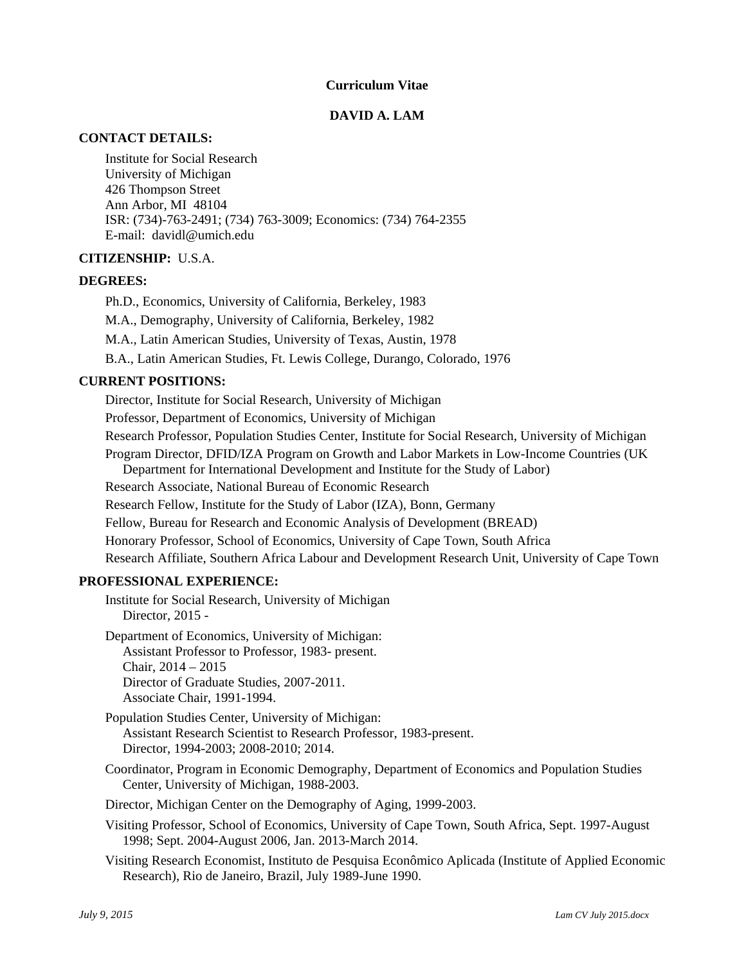### **Curriculum Vitae**

## **DAVID A. LAM**

## **CONTACT DETAILS:**

Institute for Social Research University of Michigan 426 Thompson Street Ann Arbor, MI 48104 ISR: (734)-763-2491; (734) 763-3009; Economics: (734) 764-2355 E-mail: davidl@umich.edu

## **CITIZENSHIP:** U.S.A.

## **DEGREES:**

Ph.D., Economics, University of California, Berkeley, 1983

M.A., Demography, University of California, Berkeley, 1982

M.A., Latin American Studies, University of Texas, Austin, 1978

B.A., Latin American Studies, Ft. Lewis College, Durango, Colorado, 1976

## **CURRENT POSITIONS:**

Director, Institute for Social Research, University of Michigan

Professor, Department of Economics, University of Michigan

Research Professor, Population Studies Center, Institute for Social Research, University of Michigan

Program Director, DFID/IZA Program on Growth and Labor Markets in Low-Income Countries (UK Department for International Development and Institute for the Study of Labor)

Research Associate, National Bureau of Economic Research

Research Fellow, Institute for the Study of Labor (IZA), Bonn, Germany

Fellow, Bureau for Research and Economic Analysis of Development (BREAD)

Honorary Professor, School of Economics, University of Cape Town, South Africa

Research Affiliate, Southern Africa Labour and Development Research Unit, University of Cape Town

#### **PROFESSIONAL EXPERIENCE:**

Institute for Social Research, University of Michigan Director, 2015 -

Department of Economics, University of Michigan: Assistant Professor to Professor, 1983- present. Chair, 2014 – 2015 Director of Graduate Studies, 2007-2011. Associate Chair, 1991-1994.

Population Studies Center, University of Michigan: Assistant Research Scientist to Research Professor, 1983-present. Director, 1994-2003; 2008-2010; 2014.

Coordinator, Program in Economic Demography, Department of Economics and Population Studies Center, University of Michigan, 1988-2003.

Director, Michigan Center on the Demography of Aging, 1999-2003.

Visiting Professor, School of Economics, University of Cape Town, South Africa, Sept. 1997-August 1998; Sept. 2004-August 2006, Jan. 2013-March 2014.

Visiting Research Economist, Instituto de Pesquisa Econômico Aplicada (Institute of Applied Economic Research), Rio de Janeiro, Brazil, July 1989-June 1990.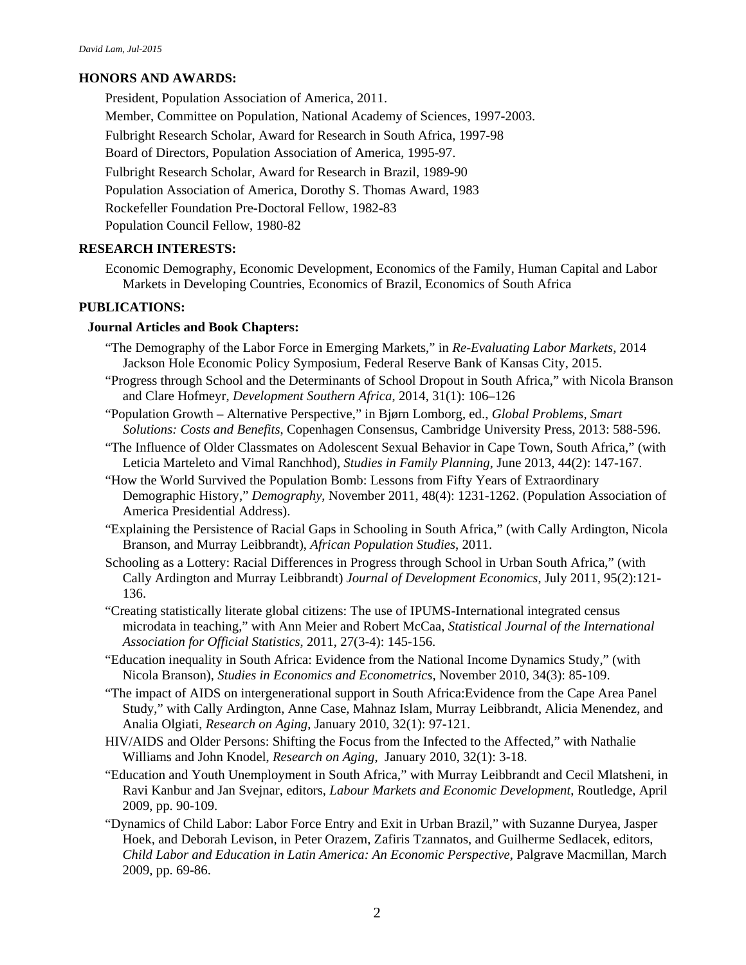# **HONORS AND AWARDS:**

President, Population Association of America, 2011. Member, Committee on Population, National Academy of Sciences, 1997-2003. Fulbright Research Scholar, Award for Research in South Africa, 1997-98 Board of Directors, Population Association of America, 1995-97. Fulbright Research Scholar, Award for Research in Brazil, 1989-90 Population Association of America, Dorothy S. Thomas Award, 1983 Rockefeller Foundation Pre-Doctoral Fellow, 1982-83 Population Council Fellow, 1980-82

# **RESEARCH INTERESTS:**

Economic Demography, Economic Development, Economics of the Family, Human Capital and Labor Markets in Developing Countries, Economics of Brazil, Economics of South Africa

## **PUBLICATIONS:**

## **Journal Articles and Book Chapters:**

- "The Demography of the Labor Force in Emerging Markets," in *Re-Evaluating Labor Markets*, 2014 Jackson Hole Economic Policy Symposium, Federal Reserve Bank of Kansas City, 2015.
- "Progress through School and the Determinants of School Dropout in South Africa," with Nicola Branson and Clare Hofmeyr, *Development Southern Africa*, 2014, 31(1): 106–126
- "Population Growth Alternative Perspective," in Bjørn Lomborg, ed., *Global Problems, Smart Solutions: Costs and Benefits*, Copenhagen Consensus, Cambridge University Press, 2013: 588-596.
- "The Influence of Older Classmates on Adolescent Sexual Behavior in Cape Town, South Africa," (with Leticia Marteleto and Vimal Ranchhod), *Studies in Family Planning*, June 2013, 44(2): 147-167.
- "How the World Survived the Population Bomb: Lessons from Fifty Years of Extraordinary Demographic History," *Demography*, November 2011, 48(4): 1231-1262. (Population Association of America Presidential Address).
- "Explaining the Persistence of Racial Gaps in Schooling in South Africa," (with Cally Ardington, Nicola Branson, and Murray Leibbrandt), *African Population Studies*, 2011.
- Schooling as a Lottery: Racial Differences in Progress through School in Urban South Africa," (with Cally Ardington and Murray Leibbrandt) *Journal of Development Economics*, July 2011, 95(2):121- 136.
- "Creating statistically literate global citizens: The use of IPUMS-International integrated census microdata in teaching," with Ann Meier and Robert McCaa, *Statistical Journal of the International Association for Official Statistics*, 2011, 27(3-4): 145-156.
- "Education inequality in South Africa: Evidence from the National Income Dynamics Study," (with Nicola Branson), *Studies in Economics and Econometrics*, November 2010, 34(3): 85-109.
- "The impact of AIDS on intergenerational support in South Africa:Evidence from the Cape Area Panel Study," with Cally Ardington, Anne Case, Mahnaz Islam, Murray Leibbrandt, Alicia Menendez, and Analia Olgiati, *Research on Aging*, January 2010, 32(1): 97-121.
- HIV/AIDS and Older Persons: Shifting the Focus from the Infected to the Affected," with Nathalie Williams and John Knodel, *Research on Aging*, January 2010, 32(1): 3-18.
- "Education and Youth Unemployment in South Africa," with Murray Leibbrandt and Cecil Mlatsheni, in Ravi Kanbur and Jan Svejnar, editors, *Labour Markets and Economic Development*, Routledge, April 2009, pp. 90-109.
- "Dynamics of Child Labor: Labor Force Entry and Exit in Urban Brazil," with Suzanne Duryea, Jasper Hoek, and Deborah Levison, in Peter Orazem, Zafiris Tzannatos, and Guilherme Sedlacek, editors, *Child Labor and Education in Latin America: An Economic Perspective*, Palgrave Macmillan, March 2009, pp. 69-86.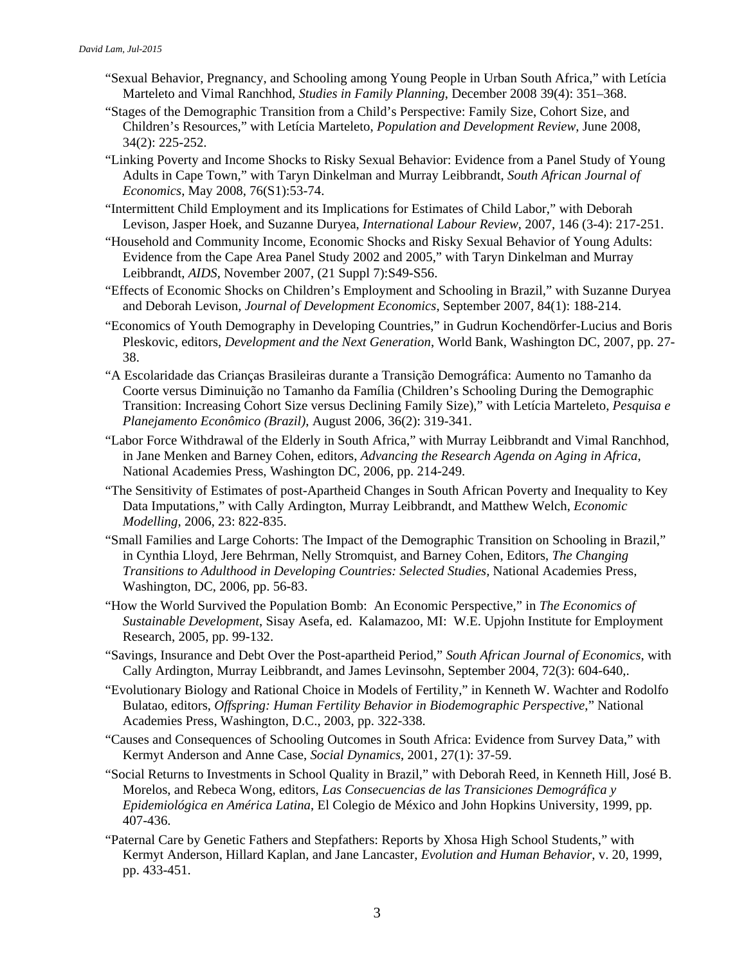- "Sexual Behavior, Pregnancy, and Schooling among Young People in Urban South Africa," with Letícia Marteleto and Vimal Ranchhod, *Studies in Family Planning*, December 2008 39(4): 351–368.
- "Stages of the Demographic Transition from a Child's Perspective: Family Size, Cohort Size, and Children's Resources," with Letícia Marteleto, *Population and Development Review*, June 2008, 34(2): 225-252.
- "Linking Poverty and Income Shocks to Risky Sexual Behavior: Evidence from a Panel Study of Young Adults in Cape Town," with Taryn Dinkelman and Murray Leibbrandt, *South African Journal of Economics*, May 2008, 76(S1):53-74.
- "Intermittent Child Employment and its Implications for Estimates of Child Labor," with Deborah Levison, Jasper Hoek, and Suzanne Duryea, *International Labour Review*, 2007, 146 (3-4): 217-251.
- "Household and Community Income, Economic Shocks and Risky Sexual Behavior of Young Adults: Evidence from the Cape Area Panel Study 2002 and 2005," with Taryn Dinkelman and Murray Leibbrandt, *AIDS*, November 2007, (21 Suppl 7):S49-S56.
- "Effects of Economic Shocks on Children's Employment and Schooling in Brazil," with Suzanne Duryea and Deborah Levison, *Journal of Development Economics*, September 2007, 84(1): 188-214.
- "Economics of Youth Demography in Developing Countries," in Gudrun Kochendörfer-Lucius and Boris Pleskovic, editors, *Development and the Next Generation*, World Bank, Washington DC, 2007, pp. 27- 38.
- "A Escolaridade das Crianças Brasileiras durante a Transição Demográfica: Aumento no Tamanho da Coorte versus Diminuição no Tamanho da Família (Children's Schooling During the Demographic Transition: Increasing Cohort Size versus Declining Family Size)," with Letícia Marteleto, *Pesquisa e Planejamento Econômico (Brazil)*, August 2006, 36(2): 319-341.
- "Labor Force Withdrawal of the Elderly in South Africa," with Murray Leibbrandt and Vimal Ranchhod, in Jane Menken and Barney Cohen, editors, *Advancing the Research Agenda on Aging in Africa*, National Academies Press, Washington DC, 2006, pp. 214-249.
- "The Sensitivity of Estimates of post-Apartheid Changes in South African Poverty and Inequality to Key Data Imputations," with Cally Ardington, Murray Leibbrandt, and Matthew Welch, *Economic Modelling*, 2006, 23: 822-835.
- "Small Families and Large Cohorts: The Impact of the Demographic Transition on Schooling in Brazil," in Cynthia Lloyd, Jere Behrman, Nelly Stromquist, and Barney Cohen, Editors, *The Changing Transitions to Adulthood in Developing Countries: Selected Studies,* National Academies Press, Washington, DC, 2006, pp. 56-83.
- "How the World Survived the Population Bomb: An Economic Perspective," in *The Economics of Sustainable Development*, Sisay Asefa, ed. Kalamazoo, MI: W.E. Upjohn Institute for Employment Research, 2005, pp. 99-132.
- "Savings, Insurance and Debt Over the Post-apartheid Period," *South African Journal of Economics*, with Cally Ardington, Murray Leibbrandt, and James Levinsohn, September 2004, 72(3): 604-640,.
- "Evolutionary Biology and Rational Choice in Models of Fertility," in Kenneth W. Wachter and Rodolfo Bulatao, editors, *Offspring: Human Fertility Behavior in Biodemographic Perspective*," National Academies Press, Washington, D.C., 2003, pp. 322-338.
- "Causes and Consequences of Schooling Outcomes in South Africa: Evidence from Survey Data," with Kermyt Anderson and Anne Case, *Social Dynamics*, 2001, 27(1): 37-59.
- "Social Returns to Investments in School Quality in Brazil," with Deborah Reed, in Kenneth Hill, José B. Morelos, and Rebeca Wong, editors, *Las Consecuencias de las Transiciones Demográfica y Epidemiológica en América Latina*, El Colegio de México and John Hopkins University, 1999, pp. 407-436.
- "Paternal Care by Genetic Fathers and Stepfathers: Reports by Xhosa High School Students," with Kermyt Anderson, Hillard Kaplan, and Jane Lancaster, *Evolution and Human Behavior*, v. 20, 1999, pp. 433-451.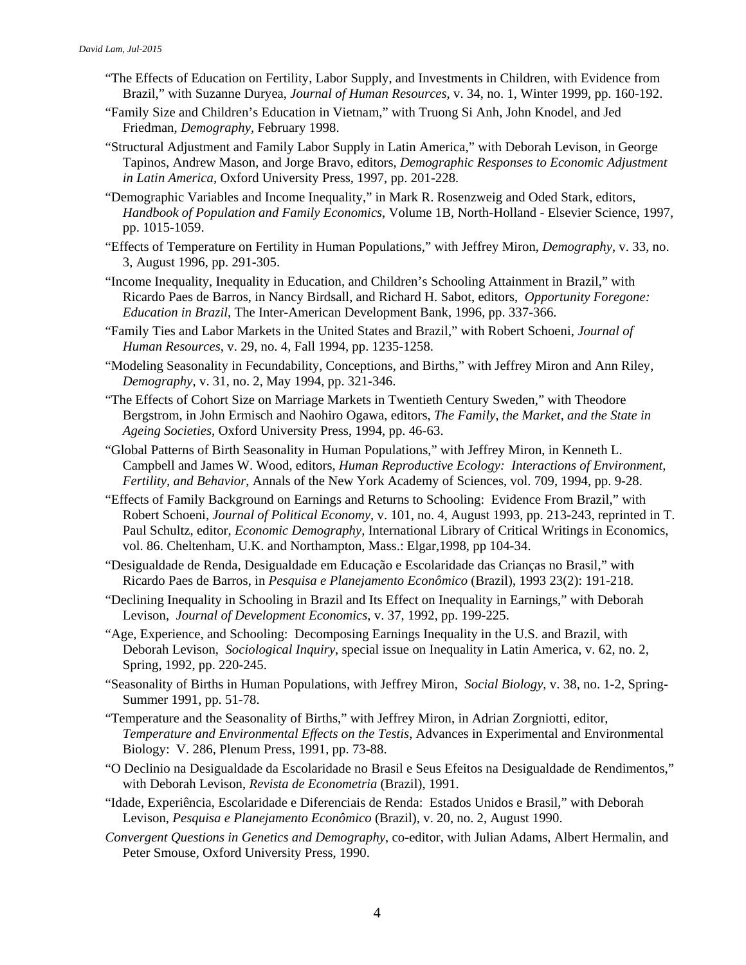- "The Effects of Education on Fertility, Labor Supply, and Investments in Children, with Evidence from Brazil," with Suzanne Duryea, *Journal of Human Resources*, v. 34, no. 1, Winter 1999, pp. 160-192.
- "Family Size and Children's Education in Vietnam," with Truong Si Anh, John Knodel, and Jed Friedman, *Demography,* February 1998.
- "Structural Adjustment and Family Labor Supply in Latin America," with Deborah Levison, in George Tapinos, Andrew Mason, and Jorge Bravo, editors, *Demographic Responses to Economic Adjustment in Latin America*, Oxford University Press, 1997, pp. 201-228.
- "Demographic Variables and Income Inequality," in Mark R. Rosenzweig and Oded Stark, editors, *Handbook of Population and Family Economics*, Volume 1B, North-Holland - Elsevier Science, 1997, pp. 1015-1059.
- "Effects of Temperature on Fertility in Human Populations," with Jeffrey Miron, *Demography*, v. 33, no. 3, August 1996, pp. 291-305.
- "Income Inequality, Inequality in Education, and Children's Schooling Attainment in Brazil," with Ricardo Paes de Barros, in Nancy Birdsall, and Richard H. Sabot, editors, *Opportunity Foregone: Education in Brazil*, The Inter-American Development Bank, 1996, pp. 337-366.
- "Family Ties and Labor Markets in the United States and Brazil," with Robert Schoeni, *Journal of Human Resources*, v. 29, no. 4, Fall 1994, pp. 1235-1258.
- "Modeling Seasonality in Fecundability, Conceptions, and Births," with Jeffrey Miron and Ann Riley, *Demography*, v. 31, no. 2, May 1994, pp. 321-346.
- "The Effects of Cohort Size on Marriage Markets in Twentieth Century Sweden," with Theodore Bergstrom, in John Ermisch and Naohiro Ogawa, editors, *The Family, the Market, and the State in Ageing Societies*, Oxford University Press, 1994, pp. 46-63.
- "Global Patterns of Birth Seasonality in Human Populations," with Jeffrey Miron, in Kenneth L. Campbell and James W. Wood, editors, *Human Reproductive Ecology: Interactions of Environment, Fertility, and Behavior*, Annals of the New York Academy of Sciences, vol. 709, 1994, pp. 9-28.
- "Effects of Family Background on Earnings and Returns to Schooling: Evidence From Brazil," with Robert Schoeni, *Journal of Political Economy*, v. 101, no. 4, August 1993, pp. 213-243, reprinted in T. Paul Schultz, editor, *Economic Demography,* International Library of Critical Writings in Economics, vol. 86. Cheltenham, U.K. and Northampton, Mass.: Elgar,1998, pp 104-34.
- "Desigualdade de Renda, Desigualdade em Educação e Escolaridade das Crianças no Brasil," with Ricardo Paes de Barros, in *Pesquisa e Planejamento Econômico* (Brazil), 1993 23(2): 191-218.
- "Declining Inequality in Schooling in Brazil and Its Effect on Inequality in Earnings," with Deborah Levison, *Journal of Development Economics*, v. 37, 1992, pp. 199-225.
- "Age, Experience, and Schooling: Decomposing Earnings Inequality in the U.S. and Brazil, with Deborah Levison, *Sociological Inquiry*, special issue on Inequality in Latin America, v. 62, no. 2, Spring, 1992, pp. 220-245.
- "Seasonality of Births in Human Populations, with Jeffrey Miron, *Social Biology*, v. 38, no. 1-2, Spring-Summer 1991, pp. 51-78.
- "Temperature and the Seasonality of Births," with Jeffrey Miron, in Adrian Zorgniotti, editor, *Temperature and Environmental Effects on the Testis*, Advances in Experimental and Environmental Biology: V. 286, Plenum Press, 1991, pp. 73-88.
- "O Declinio na Desigualdade da Escolaridade no Brasil e Seus Efeitos na Desigualdade de Rendimentos," with Deborah Levison, *Revista de Econometria* (Brazil), 1991.
- "Idade, Experiência, Escolaridade e Diferenciais de Renda: Estados Unidos e Brasil," with Deborah Levison, *Pesquisa e Planejamento Econômico* (Brazil), v. 20, no. 2, August 1990.
- *Convergent Questions in Genetics and Demography*, co-editor, with Julian Adams, Albert Hermalin, and Peter Smouse, Oxford University Press, 1990.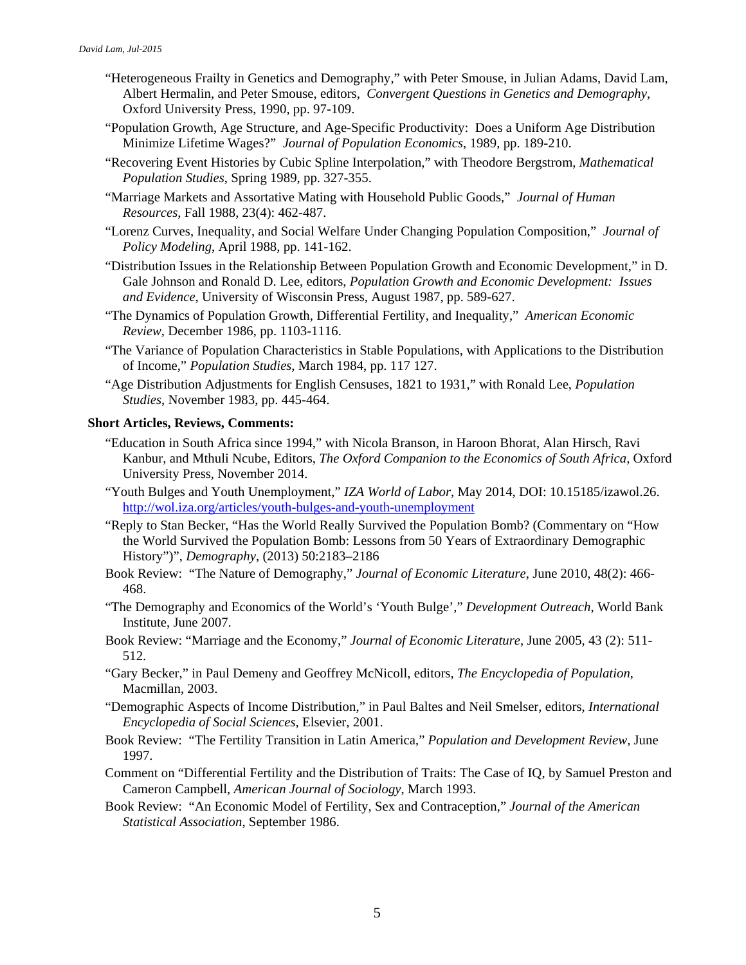- "Heterogeneous Frailty in Genetics and Demography," with Peter Smouse, in Julian Adams, David Lam, Albert Hermalin, and Peter Smouse, editors, *Convergent Questions in Genetics and Demography*, Oxford University Press, 1990, pp. 97-109.
- "Population Growth, Age Structure, and Age-Specific Productivity: Does a Uniform Age Distribution Minimize Lifetime Wages?" *Journal of Population Economics*, 1989, pp. 189-210.
- "Recovering Event Histories by Cubic Spline Interpolation," with Theodore Bergstrom, *Mathematical Population Studies*, Spring 1989, pp. 327-355.
- "Marriage Markets and Assortative Mating with Household Public Goods," *Journal of Human Resources*, Fall 1988, 23(4): 462-487.
- "Lorenz Curves, Inequality, and Social Welfare Under Changing Population Composition," *Journal of Policy Modeling*, April 1988, pp. 141-162.
- "Distribution Issues in the Relationship Between Population Growth and Economic Development," in D. Gale Johnson and Ronald D. Lee, editors, *Population Growth and Economic Development: Issues and Evidence*, University of Wisconsin Press, August 1987, pp. 589-627.
- "The Dynamics of Population Growth, Differential Fertility, and Inequality," *American Economic Review*, December 1986, pp. 1103-1116.
- "The Variance of Population Characteristics in Stable Populations, with Applications to the Distribution of Income," *Population Studies*, March 1984, pp. 117 127.
- "Age Distribution Adjustments for English Censuses, 1821 to 1931," with Ronald Lee, *Population Studies*, November 1983, pp. 445-464.

## **Short Articles, Reviews, Comments:**

- "Education in South Africa since 1994," with Nicola Branson, in Haroon Bhorat, Alan Hirsch, Ravi Kanbur, and Mthuli Ncube, Editors, *The Oxford Companion to the Economics of South Africa,* Oxford University Press, November 2014.
- "Youth Bulges and Youth Unemployment," *IZA World of Labor*, May 2014, DOI: 10.15185/izawol.26. <http://wol.iza.org/articles/youth-bulges-and-youth-unemployment>
- "Reply to Stan Becker, "Has the World Really Survived the Population Bomb? (Commentary on "How the World Survived the Population Bomb: Lessons from 50 Years of Extraordinary Demographic History")", *Demography*, (2013) 50:2183–2186
- Book Review: "The Nature of Demography," *Journal of Economic Literature*, June 2010, 48(2): 466- 468.
- "The Demography and Economics of the World's 'Youth Bulge'," *Development Outreach*, World Bank Institute, June 2007.
- Book Review: "Marriage and the Economy," *Journal of Economic Literature*, June 2005, 43 (2): 511- 512.
- "Gary Becker," in Paul Demeny and Geoffrey McNicoll, editors, *The Encyclopedia of Population*, Macmillan, 2003.
- "Demographic Aspects of Income Distribution," in Paul Baltes and Neil Smelser, editors, *International Encyclopedia of Social Sciences*, Elsevier, 2001.
- Book Review: "The Fertility Transition in Latin America," *Population and Development Review,* June 1997.
- Comment on "Differential Fertility and the Distribution of Traits: The Case of IQ, by Samuel Preston and Cameron Campbell, *American Journal of Sociology*, March 1993.
- Book Review: "An Economic Model of Fertility, Sex and Contraception," *Journal of the American Statistical Association*, September 1986.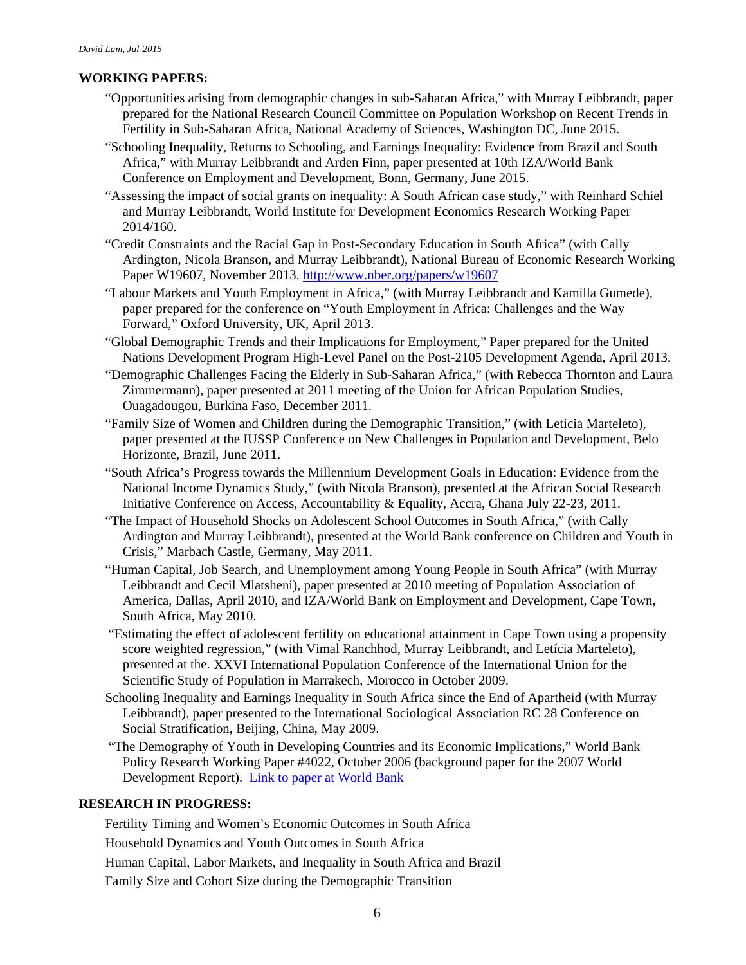# **WORKING PAPERS:**

- "Opportunities arising from demographic changes in sub-Saharan Africa," with Murray Leibbrandt, paper prepared for the National Research Council Committee on Population Workshop on Recent Trends in Fertility in Sub-Saharan Africa, National Academy of Sciences, Washington DC, June 2015.
- "Schooling Inequality, Returns to Schooling, and Earnings Inequality: Evidence from Brazil and South Africa," with Murray Leibbrandt and Arden Finn, paper presented at 10th IZA/World Bank Conference on Employment and Development, Bonn, Germany, June 2015.
- "Assessing the impact of social grants on inequality: A South African case study," with Reinhard Schiel and Murray Leibbrandt, World Institute for Development Economics Research Working Paper 2014/160.
- "Credit Constraints and the Racial Gap in Post-Secondary Education in South Africa" (with Cally Ardington, Nicola Branson, and Murray Leibbrandt), National Bureau of Economic Research Working Paper W19607, November 2013. <http://www.nber.org/papers/w19607>
- "Labour Markets and Youth Employment in Africa," (with Murray Leibbrandt and Kamilla Gumede), paper prepared for the conference on "Youth Employment in Africa: Challenges and the Way Forward," Oxford University, UK, April 2013.
- "Global Demographic Trends and their Implications for Employment," Paper prepared for the United Nations Development Program High-Level Panel on the Post-2105 Development Agenda, April 2013.
- "Demographic Challenges Facing the Elderly in Sub-Saharan Africa," (with Rebecca Thornton and Laura Zimmermann), paper presented at 2011 meeting of the Union for African Population Studies, Ouagadougou, Burkina Faso, December 2011.
- "Family Size of Women and Children during the Demographic Transition," (with Leticia Marteleto), paper presented at the IUSSP Conference on New Challenges in Population and Development, Belo Horizonte, Brazil, June 2011.
- "South Africa's Progress towards the Millennium Development Goals in Education: Evidence from the National Income Dynamics Study," (with Nicola Branson), presented at the African Social Research Initiative Conference on Access, Accountability & Equality, Accra, Ghana July 22-23, 2011.
- "The Impact of Household Shocks on Adolescent School Outcomes in South Africa," (with Cally Ardington and Murray Leibbrandt), presented at the World Bank conference on Children and Youth in Crisis," Marbach Castle, Germany, May 2011.
- "Human Capital, Job Search, and Unemployment among Young People in South Africa" (with Murray Leibbrandt and Cecil Mlatsheni), paper presented at 2010 meeting of Population Association of America, Dallas, April 2010, and IZA/World Bank on Employment and Development, Cape Town, South Africa, May 2010.
- "Estimating the effect of adolescent fertility on educational attainment in Cape Town using a propensity score weighted regression," (with Vimal Ranchhod, Murray Leibbrandt, and Letícia Marteleto), presented at the. XXVI International Population Conference of the International Union for the Scientific Study of Population in Marrakech, Morocco in October 2009.
- Schooling Inequality and Earnings Inequality in South Africa since the End of Apartheid (with Murray Leibbrandt), paper presented to the International Sociological Association RC 28 Conference on Social Stratification, Beijing, China, May 2009.
- "The Demography of Youth in Developing Countries and its Economic Implications," World Bank Policy Research Working Paper #4022, October 2006 (background paper for the 2007 World Development Report). [Link to paper at World Bank](http://documents.worldbank.org/curated/en/2006/10/7106763/demography-youth-developing-countries-economic-implications)

## **RESEARCH IN PROGRESS:**

Fertility Timing and Women's Economic Outcomes in South Africa

Household Dynamics and Youth Outcomes in South Africa

Human Capital, Labor Markets, and Inequality in South Africa and Brazil

Family Size and Cohort Size during the Demographic Transition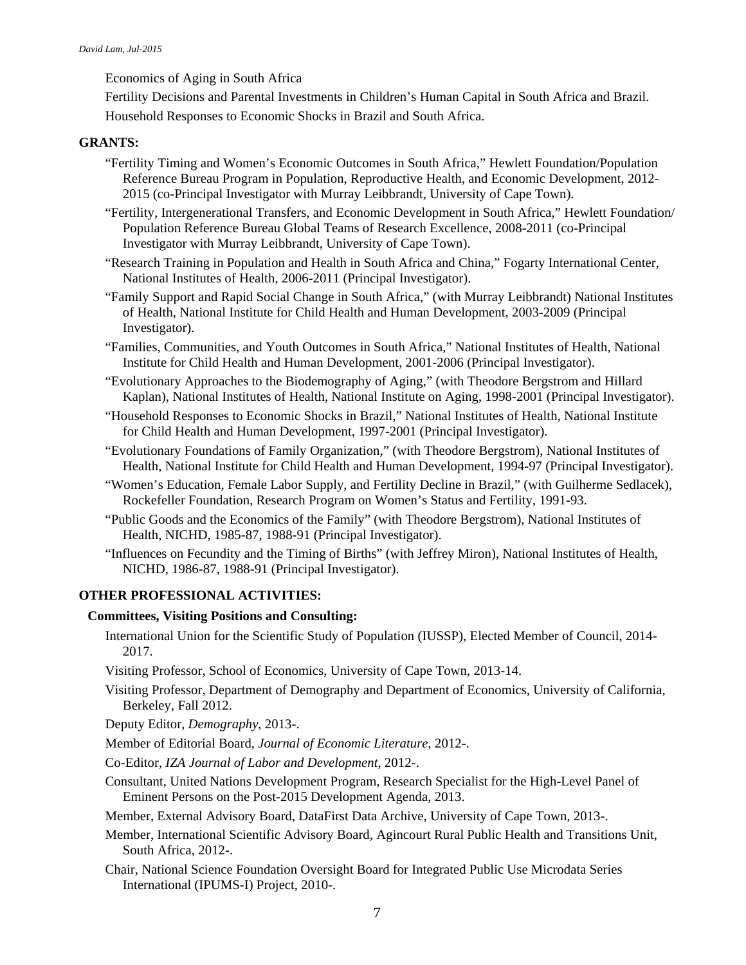Economics of Aging in South Africa

Fertility Decisions and Parental Investments in Children's Human Capital in South Africa and Brazil. Household Responses to Economic Shocks in Brazil and South Africa.

### **GRANTS:**

- "Fertility Timing and Women's Economic Outcomes in South Africa," Hewlett Foundation/Population Reference Bureau Program in Population, Reproductive Health, and Economic Development, 2012- 2015 (co-Principal Investigator with Murray Leibbrandt, University of Cape Town).
- "Fertility, Intergenerational Transfers, and Economic Development in South Africa," Hewlett Foundation/ Population Reference Bureau Global Teams of Research Excellence, 2008-2011 (co-Principal Investigator with Murray Leibbrandt, University of Cape Town).
- "Research Training in Population and Health in South Africa and China," Fogarty International Center, National Institutes of Health, 2006-2011 (Principal Investigator).
- "Family Support and Rapid Social Change in South Africa," (with Murray Leibbrandt) National Institutes of Health, National Institute for Child Health and Human Development, 2003-2009 (Principal Investigator).
- "Families, Communities, and Youth Outcomes in South Africa," National Institutes of Health, National Institute for Child Health and Human Development, 2001-2006 (Principal Investigator).
- "Evolutionary Approaches to the Biodemography of Aging," (with Theodore Bergstrom and Hillard Kaplan), National Institutes of Health, National Institute on Aging, 1998-2001 (Principal Investigator).
- "Household Responses to Economic Shocks in Brazil," National Institutes of Health, National Institute for Child Health and Human Development, 1997-2001 (Principal Investigator).
- "Evolutionary Foundations of Family Organization," (with Theodore Bergstrom), National Institutes of Health, National Institute for Child Health and Human Development, 1994-97 (Principal Investigator).
- "Women's Education, Female Labor Supply, and Fertility Decline in Brazil," (with Guilherme Sedlacek), Rockefeller Foundation, Research Program on Women's Status and Fertility, 1991-93.
- "Public Goods and the Economics of the Family" (with Theodore Bergstrom), National Institutes of Health, NICHD, 1985-87, 1988-91 (Principal Investigator).
- "Influences on Fecundity and the Timing of Births" (with Jeffrey Miron), National Institutes of Health, NICHD, 1986-87, 1988-91 (Principal Investigator).

#### **OTHER PROFESSIONAL ACTIVITIES:**

### **Committees, Visiting Positions and Consulting:**

- International Union for the Scientific Study of Population (IUSSP), Elected Member of Council, 2014- 2017.
- Visiting Professor, School of Economics, University of Cape Town, 2013-14.
- Visiting Professor, Department of Demography and Department of Economics, University of California, Berkeley, Fall 2012.
- Deputy Editor, *Demography*, 2013-.
- Member of Editorial Board, *Journal of Economic Literature*, 2012-.
- Co-Editor, *IZA Journal of Labor and Development*, 2012-.
- Consultant, United Nations Development Program, Research Specialist for the High-Level Panel of Eminent Persons on the Post-2015 Development Agenda, 2013.
- Member, External Advisory Board, DataFirst Data Archive, University of Cape Town, 2013-.
- Member, International Scientific Advisory Board, Agincourt Rural Public Health and Transitions Unit, South Africa, 2012-.
- Chair, National Science Foundation Oversight Board for Integrated Public Use Microdata Series International (IPUMS-I) Project, 2010-.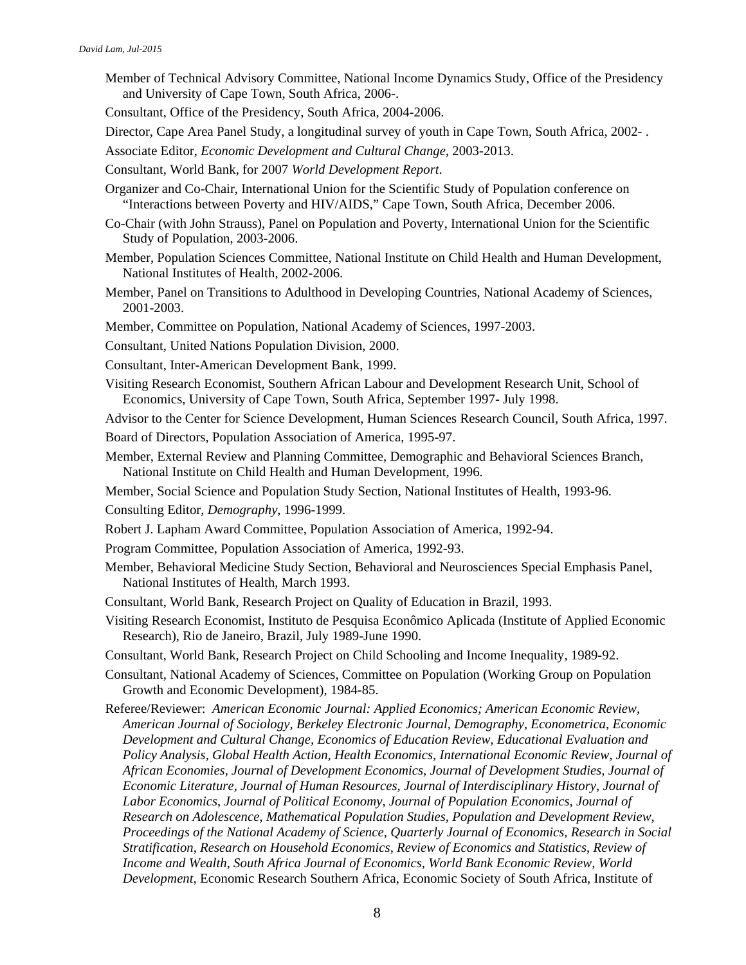- Member of Technical Advisory Committee, National Income Dynamics Study, Office of the Presidency and University of Cape Town, South Africa, 2006-.
- Consultant, Office of the Presidency, South Africa, 2004-2006.
- Director, Cape Area Panel Study, a longitudinal survey of youth in Cape Town, South Africa, 2002- .
- Associate Editor, *Economic Development and Cultural Change*, 2003-2013.
- Consultant, World Bank, for 2007 *World Development Report*.
- Organizer and Co-Chair, International Union for the Scientific Study of Population conference on "Interactions between Poverty and HIV/AIDS," Cape Town, South Africa, December 2006.
- Co-Chair (with John Strauss), Panel on Population and Poverty, International Union for the Scientific Study of Population, 2003-2006.
- Member, Population Sciences Committee, National Institute on Child Health and Human Development, National Institutes of Health, 2002-2006.
- Member, Panel on Transitions to Adulthood in Developing Countries, National Academy of Sciences, 2001-2003.
- Member, Committee on Population, National Academy of Sciences, 1997-2003.
- Consultant, United Nations Population Division, 2000.
- Consultant, Inter-American Development Bank, 1999.
- Visiting Research Economist, Southern African Labour and Development Research Unit, School of Economics, University of Cape Town, South Africa, September 1997- July 1998.
- Advisor to the Center for Science Development, Human Sciences Research Council, South Africa, 1997. Board of Directors, Population Association of America, 1995-97.
- Member, External Review and Planning Committee, Demographic and Behavioral Sciences Branch, National Institute on Child Health and Human Development, 1996.
- Member, Social Science and Population Study Section, National Institutes of Health, 1993-96.
- Consulting Editor, *Demography*, 1996-1999.
- Robert J. Lapham Award Committee, Population Association of America, 1992-94.
- Program Committee, Population Association of America, 1992-93.
- Member, Behavioral Medicine Study Section, Behavioral and Neurosciences Special Emphasis Panel, National Institutes of Health, March 1993.
- Consultant, World Bank, Research Project on Quality of Education in Brazil, 1993.
- Visiting Research Economist, Instituto de Pesquisa Econômico Aplicada (Institute of Applied Economic Research), Rio de Janeiro, Brazil, July 1989-June 1990.
- Consultant, World Bank, Research Project on Child Schooling and Income Inequality, 1989-92.
- Consultant, National Academy of Sciences, Committee on Population (Working Group on Population Growth and Economic Development), 1984-85.
- Referee/Reviewer: *American Economic Journal: Applied Economics; American Economic Review*, *American Journal of Sociology, Berkeley Electronic Journal, Demography*, *Econometrica*, *Economic Development and Cultural Change, Economics of Education Review, Educational Evaluation and Policy Analysis, Global Health Action, Health Economics, International Economic Review*, *Journal of African Economies, Journal of Development Economics, Journal of Development Studies, Journal of Economic Literature, Journal of Human Resources*, *Journal of Interdisciplinary History*, *Journal of Labor Economics*, *Journal of Political Economy*, *Journal of Population Economics, Journal of Research on Adolescence*, *Mathematical Population Studies*, *Population and Development Review*, *Proceedings of the National Academy of Science, Quarterly Journal of Economics, Research in Social Stratification, Research on Household Economics, Review of Economics and Statistics*, *Review of Income and Wealth, South Africa Journal of Economics, World Bank Economic Review, World Development*, Economic Research Southern Africa, Economic Society of South Africa, Institute of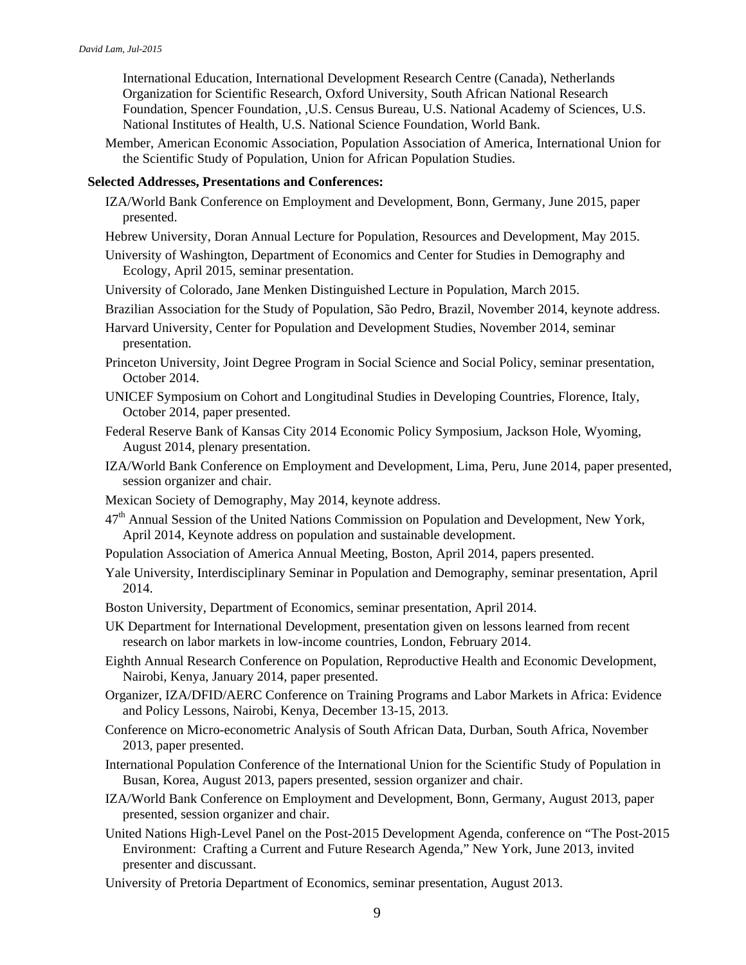International Education, International Development Research Centre (Canada), Netherlands Organization for Scientific Research, Oxford University, South African National Research Foundation, Spencer Foundation, ,U.S. Census Bureau, U.S. National Academy of Sciences, U.S. National Institutes of Health, U.S. National Science Foundation, World Bank.

Member, American Economic Association, Population Association of America, International Union for the Scientific Study of Population, Union for African Population Studies.

#### **Selected Addresses, Presentations and Conferences:**

- IZA/World Bank Conference on Employment and Development, Bonn, Germany, June 2015, paper presented.
- Hebrew University, Doran Annual Lecture for Population, Resources and Development, May 2015.
- University of Washington, Department of Economics and Center for Studies in Demography and Ecology, April 2015, seminar presentation.
- University of Colorado, Jane Menken Distinguished Lecture in Population, March 2015.
- Brazilian Association for the Study of Population, São Pedro, Brazil, November 2014, keynote address.
- Harvard University, Center for Population and Development Studies, November 2014, seminar presentation.
- Princeton University, Joint Degree Program in Social Science and Social Policy, seminar presentation, October 2014.
- UNICEF Symposium on Cohort and Longitudinal Studies in Developing Countries, Florence, Italy, October 2014, paper presented.
- Federal Reserve Bank of Kansas City 2014 Economic Policy Symposium, Jackson Hole, Wyoming, August 2014, plenary presentation.
- IZA/World Bank Conference on Employment and Development, Lima, Peru, June 2014, paper presented, session organizer and chair.
- Mexican Society of Demography, May 2014, keynote address.
- 47<sup>th</sup> Annual Session of the United Nations Commission on Population and Development, New York, April 2014, Keynote address on population and sustainable development.
- Population Association of America Annual Meeting, Boston, April 2014, papers presented.
- Yale University, Interdisciplinary Seminar in Population and Demography, seminar presentation, April 2014.
- Boston University, Department of Economics, seminar presentation, April 2014.
- UK Department for International Development, presentation given on lessons learned from recent research on labor markets in low-income countries, London, February 2014.
- Eighth Annual Research Conference on Population, Reproductive Health and Economic Development, Nairobi, Kenya, January 2014, paper presented.
- Organizer, IZA/DFID/AERC Conference on Training Programs and Labor Markets in Africa: Evidence and Policy Lessons, Nairobi, Kenya, December 13-15, 2013.
- Conference on Micro-econometric Analysis of South African Data, Durban, South Africa, November 2013, paper presented.
- International Population Conference of the International Union for the Scientific Study of Population in Busan, Korea, August 2013, papers presented, session organizer and chair.
- IZA/World Bank Conference on Employment and Development, Bonn, Germany, August 2013, paper presented, session organizer and chair.
- United Nations High-Level Panel on the Post-2015 Development Agenda, conference on "The Post-2015 Environment: Crafting a Current and Future Research Agenda," New York, June 2013, invited presenter and discussant.
- University of Pretoria Department of Economics, seminar presentation, August 2013.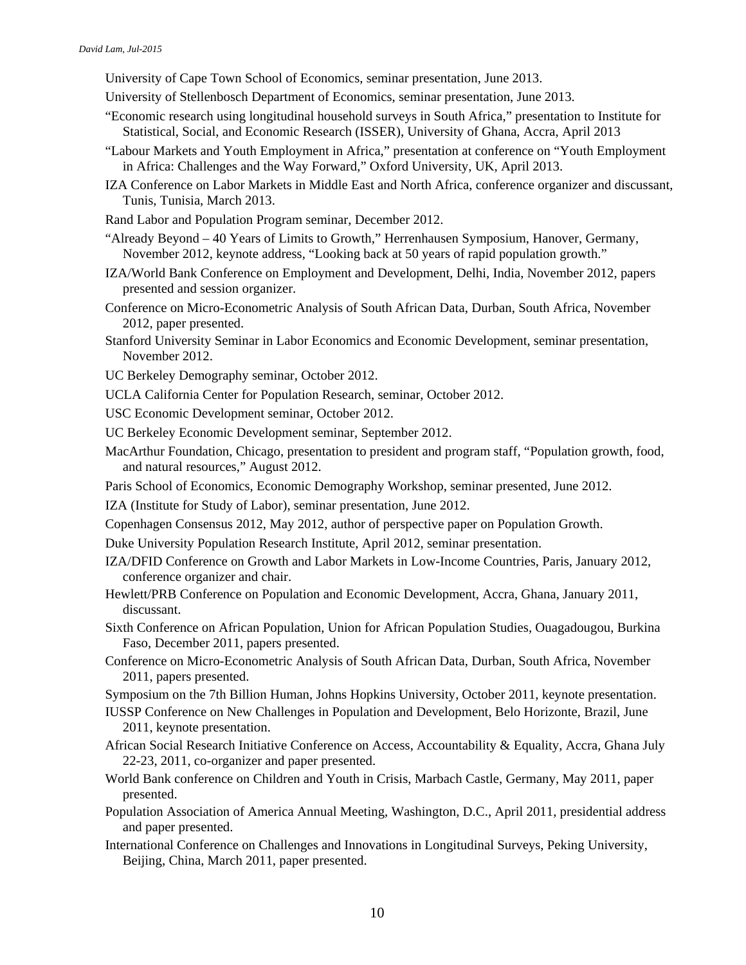University of Cape Town School of Economics, seminar presentation, June 2013.

- University of Stellenbosch Department of Economics, seminar presentation, June 2013.
- "Economic research using longitudinal household surveys in South Africa," presentation to Institute for Statistical, Social, and Economic Research (ISSER), University of Ghana, Accra, April 2013
- "Labour Markets and Youth Employment in Africa," presentation at conference on "Youth Employment in Africa: Challenges and the Way Forward," Oxford University, UK, April 2013.
- IZA Conference on Labor Markets in Middle East and North Africa, conference organizer and discussant, Tunis, Tunisia, March 2013.
- Rand Labor and Population Program seminar, December 2012.
- "Already Beyond 40 Years of Limits to Growth," Herrenhausen Symposium, Hanover, Germany, November 2012, keynote address, "Looking back at 50 years of rapid population growth."
- IZA/World Bank Conference on Employment and Development, Delhi, India, November 2012, papers presented and session organizer.
- Conference on Micro-Econometric Analysis of South African Data, Durban, South Africa, November 2012, paper presented.
- Stanford University Seminar in Labor Economics and Economic Development, seminar presentation, November 2012.
- UC Berkeley Demography seminar, October 2012.
- UCLA California Center for Population Research, seminar, October 2012.

USC Economic Development seminar, October 2012.

- UC Berkeley Economic Development seminar, September 2012.
- MacArthur Foundation, Chicago, presentation to president and program staff, "Population growth, food, and natural resources," August 2012.
- Paris School of Economics, Economic Demography Workshop, seminar presented, June 2012.
- IZA (Institute for Study of Labor), seminar presentation, June 2012.
- Copenhagen Consensus 2012, May 2012, author of perspective paper on Population Growth.
- Duke University Population Research Institute, April 2012, seminar presentation.
- IZA/DFID Conference on Growth and Labor Markets in Low-Income Countries, Paris, January 2012, conference organizer and chair.
- Hewlett/PRB Conference on Population and Economic Development, Accra, Ghana, January 2011, discussant.
- Sixth Conference on African Population, Union for African Population Studies, Ouagadougou, Burkina Faso, December 2011, papers presented.
- Conference on Micro-Econometric Analysis of South African Data, Durban, South Africa, November 2011, papers presented.
- Symposium on the 7th Billion Human, Johns Hopkins University, October 2011, keynote presentation.
- IUSSP Conference on New Challenges in Population and Development, Belo Horizonte, Brazil, June 2011, keynote presentation.
- African Social Research Initiative Conference on Access, Accountability & Equality, Accra, Ghana July 22-23, 2011, co-organizer and paper presented.
- World Bank conference on Children and Youth in Crisis, Marbach Castle, Germany, May 2011, paper presented.
- Population Association of America Annual Meeting, Washington, D.C., April 2011, presidential address and paper presented.
- International Conference on Challenges and Innovations in Longitudinal Surveys, Peking University, Beijing, China, March 2011, paper presented.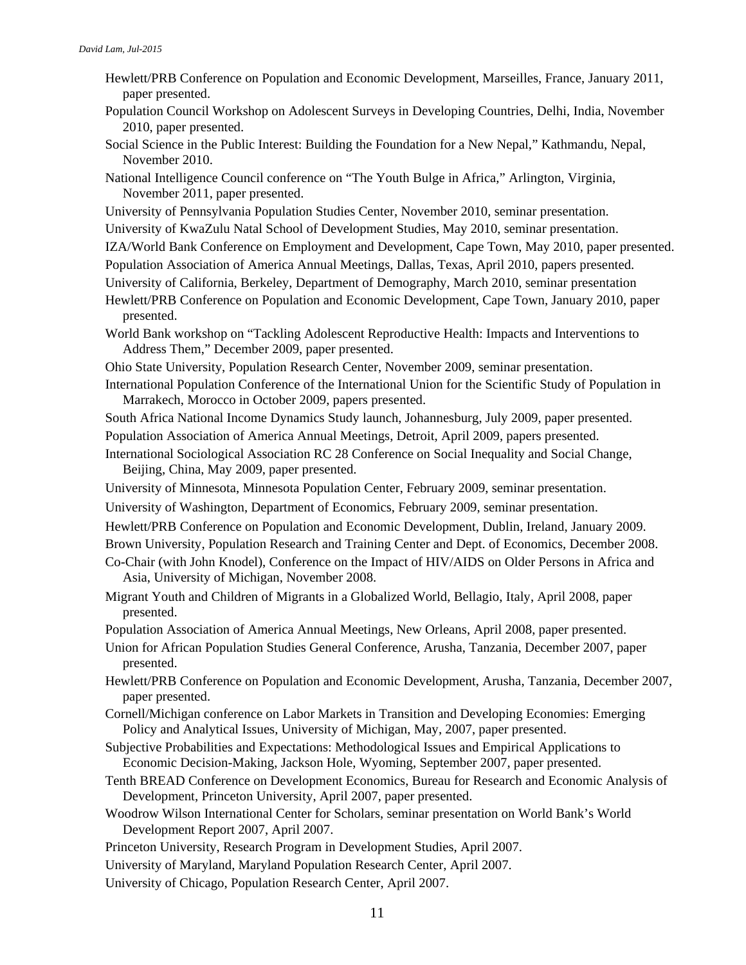- Hewlett/PRB Conference on Population and Economic Development, Marseilles, France, January 2011, paper presented.
- Population Council Workshop on Adolescent Surveys in Developing Countries, Delhi, India, November 2010, paper presented.
- Social Science in the Public Interest: Building the Foundation for a New Nepal," Kathmandu, Nepal, November 2010.
- National Intelligence Council conference on "The Youth Bulge in Africa," Arlington, Virginia, November 2011, paper presented.
- University of Pennsylvania Population Studies Center, November 2010, seminar presentation.
- University of KwaZulu Natal School of Development Studies, May 2010, seminar presentation.
- IZA/World Bank Conference on Employment and Development, Cape Town, May 2010, paper presented.
- Population Association of America Annual Meetings, Dallas, Texas, April 2010, papers presented.
- University of California, Berkeley, Department of Demography, March 2010, seminar presentation
- Hewlett/PRB Conference on Population and Economic Development, Cape Town, January 2010, paper presented.
- World Bank workshop on "Tackling Adolescent Reproductive Health: Impacts and Interventions to Address Them," December 2009, paper presented.
- Ohio State University, Population Research Center, November 2009, seminar presentation.
- International Population Conference of the International Union for the Scientific Study of Population in Marrakech, Morocco in October 2009, papers presented.
- South Africa National Income Dynamics Study launch, Johannesburg, July 2009, paper presented.

Population Association of America Annual Meetings, Detroit, April 2009, papers presented.

- International Sociological Association RC 28 Conference on Social Inequality and Social Change, Beijing, China, May 2009, paper presented.
- University of Minnesota, Minnesota Population Center, February 2009, seminar presentation.
- University of Washington, Department of Economics, February 2009, seminar presentation.
- Hewlett/PRB Conference on Population and Economic Development, Dublin, Ireland, January 2009.

Brown University, Population Research and Training Center and Dept. of Economics, December 2008.

- Co-Chair (with John Knodel), Conference on the Impact of HIV/AIDS on Older Persons in Africa and Asia, University of Michigan, November 2008.
- Migrant Youth and Children of Migrants in a Globalized World, Bellagio, Italy, April 2008, paper presented.
- Population Association of America Annual Meetings, New Orleans, April 2008, paper presented.
- Union for African Population Studies General Conference, Arusha, Tanzania, December 2007, paper presented.
- Hewlett/PRB Conference on Population and Economic Development, Arusha, Tanzania, December 2007, paper presented.
- Cornell/Michigan conference on Labor Markets in Transition and Developing Economies: Emerging Policy and Analytical Issues, University of Michigan, May, 2007, paper presented.
- Subjective Probabilities and Expectations: Methodological Issues and Empirical Applications to Economic Decision-Making, Jackson Hole, Wyoming, September 2007, paper presented.
- Tenth BREAD Conference on Development Economics, Bureau for Research and Economic Analysis of Development, Princeton University, April 2007, paper presented.
- Woodrow Wilson International Center for Scholars, seminar presentation on World Bank's World Development Report 2007, April 2007.
- Princeton University, Research Program in Development Studies, April 2007.
- University of Maryland, Maryland Population Research Center, April 2007.
- University of Chicago, Population Research Center, April 2007.